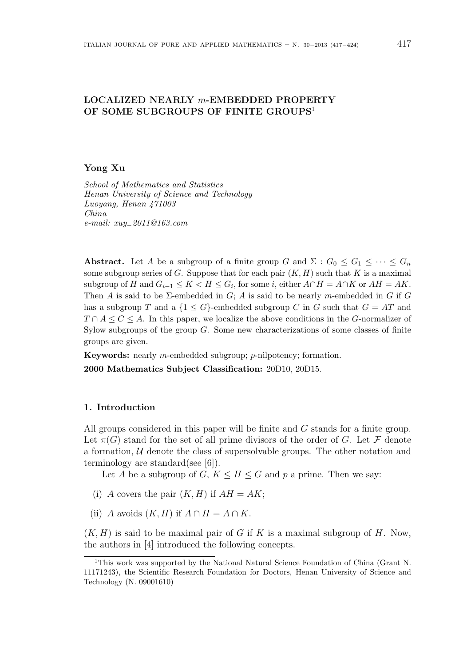# **LOCALIZED NEARLY** *m***-EMBEDDED PROPERTY OF SOME SUBGROUPS OF FINITE GROUPS**<sup>1</sup>

## **Yong Xu**

*School of Mathematics and Statistics Henan University of Science and Technology Luoyang, Henan 471003 China e-mail: xuy−2011@163.com*

**Abstract.** Let *A* be a subgroup of a finite group *G* and  $\Sigma$  :  $G_0 \leq G_1 \leq \cdots \leq G_n$ some subgroup series of *G*. Suppose that for each pair  $(K, H)$  such that *K* is a maximal subgroup of *H* and  $G_{i-1} \leq K < H \leq G_i$ , for some *i*, either  $A \cap H = A \cap K$  or  $AH = AK$ . Then *A* is said to be  $\Sigma$ -embedded in *G*; *A* is said to be nearly *m*-embedded in *G* if *G* has a subgroup *T* and a  $\{1 \le G\}$ -embedded subgroup *C* in *G* such that  $G = AT$  and *T* ∩ *A* ≤ *C* ≤ *A*. In this paper, we localize the above conditions in the *G*-normalizer of Sylow subgroups of the group *G*. Some new characterizations of some classes of finite groups are given.

**Keywords:** nearly *m*-embedded subgroup; *p*-nilpotency; formation.

**2000 Mathematics Subject Classification:** 20D10, 20D15.

#### **1. Introduction**

All groups considered in this paper will be finite and *G* stands for a finite group. Let  $\pi(G)$  stand for the set of all prime divisors of the order of *G*. Let *F* denote a formation,  $U$  denote the class of supersolvable groups. The other notation and terminology are standard(see [6]).

Let *A* be a subgroup of *G*,  $K \leq H \leq G$  and *p* a prime. Then we say:

- (i) *A* covers the pair  $(K, H)$  if  $AH = AK$ ;
- (ii) *A* avoids  $(K, H)$  if  $A \cap H = A \cap K$ .

 $(K, H)$  is said to be maximal pair of *G* if *K* is a maximal subgroup of *H*. Now, the authors in [4] introduced the following concepts.

<sup>1</sup>This work was supported by the National Natural Science Foundation of China (Grant N. 11171243), the Scientific Research Foundation for Doctors, Henan University of Science and Technology (N. 09001610)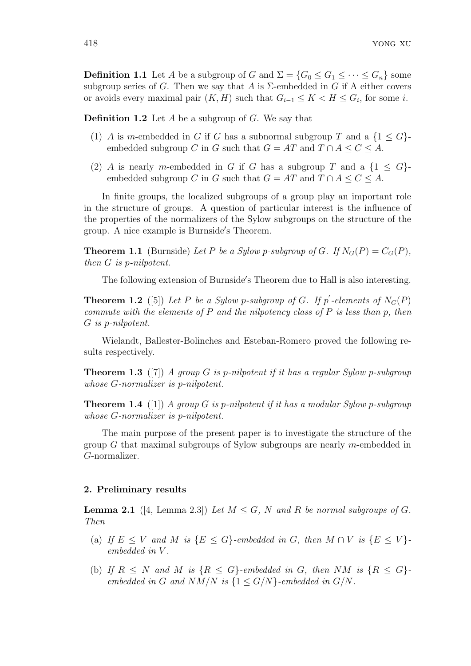**Definition 1.1** Let *A* be a subgroup of *G* and  $\Sigma = \{G_0 \le G_1 \le \cdots \le G_n\}$  some subgroup series of *G*. Then we say that *A* is  $\Sigma$ -embedded in *G* if A either covers or avoids every maximal pair  $(K, H)$  such that  $G_{i-1} \leq K < H \leq G_i$ , for some *i*.

**Definition 1.2** Let *A* be a subgroup of *G*. We say that

- (1) *A* is *m*-embedded in *G* if *G* has a subnormal subgroup *T* and a  $\{1 \le G\}$ embedded subgroup *C* in *G* such that  $G = AT$  and  $T \cap A \leq C \leq A$ .
- (2) *A* is nearly *m*-embedded in *G* if *G* has a subgroup *T* and a  $\{1 \le G\}$ embedded subgroup *C* in *G* such that  $G = AT$  and  $T \cap A \leq C \leq A$ .

In finite groups, the localized subgroups of a group play an important role in the structure of groups. A question of particular interest is the influence of the properties of the normalizers of the Sylow subgroups on the structure of the group. A nice example is Burnside*′* s Theorem.

**Theorem 1.1** (Burnside) Let P be a Sylow p-subgroup of G. If  $N_G(P) = C_G(P)$ , *then G is p-nilpotent.*

The following extension of Burnside*′* s Theorem due to Hall is also interesting.

**Theorem 1.2** ([5]) Let P be a Sylow p-subgroup of G. If  $p'$ -elements of  $N_G(P)$ *commute with the elements of P and the nilpotency class of P is less than p, then G is p-nilpotent.*

Wielandt, Ballester-Bolinches and Esteban-Romero proved the following results respectively.

**Theorem 1.3** ([7]) *A group G is p-nilpotent if it has a regular Sylow p-subgroup whose G-normalizer is p-nilpotent.*

**Theorem 1.4** ([1]) *A group G is p-nilpotent if it has a modular Sylow p-subgroup whose G-normalizer is p-nilpotent.*

The main purpose of the present paper is to investigate the structure of the group *G* that maximal subgroups of Sylow subgroups are nearly *m*-embedded in *G*-normalizer.

## **2. Preliminary results**

**Lemma 2.1** ([4, Lemma 2.3]) Let  $M \leq G$ , N and R be normal subgroups of G. *Then*

- (a) If  $E \leq V$  and M is  $\{E \leq G\}$ -embedded in G, then  $M \cap V$  is  $\{E \leq V\}$ *embedded in V .*
- (b) If  $R \leq N$  and M is  $\{R \leq G\}$ -embedded in G, then NM is  $\{R \leq G\}$ *embedded in G and*  $NM/N$  *is*  $\{1 \le G/N\}$ *-embedded in*  $G/N$ *.*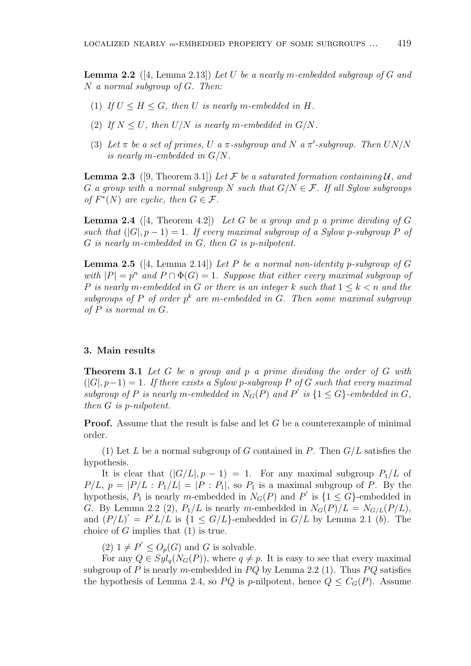**Lemma 2.2** ([4, Lemma 2.13]) *Let U be a nearly m-embedded subgroup of G and N a normal subgroup of G. Then:*

- (1) If  $U \leq H \leq G$ , then *U* is nearly *m*-embedded in *H*.
- (2) If  $N \leq U$ , then  $U/N$  is nearly m-embedded in  $G/N$ .
- (3) Let  $\pi$  be a set of primes, U a  $\pi$ -subgroup and N a  $\pi'$ -subgroup. Then  $UN/N$ *is nearly m-embedded in G/N.*

**Lemma 2.3** ([9, Theorem 3.1]) Let F be a saturated formation containing U, and *G a group* with a normal subgroup *N* such that  $G/N \in \mathcal{F}$ . If all Sylow subgroups *of*  $F^*(N)$  *are cyclic, then*  $G \in \mathcal{F}$ *.* 

**Lemma 2.4** ([4, Theorem 4.2]) *Let*  $G$  *be a group and*  $p$  *a prime dividing of*  $G$ *such that*  $(|G|, p-1) = 1$ *. If every maximal subgroup of a Sylow p-subgroup P of G is nearly m-embedded in G, then G is p-nilpotent.*

**Lemma 2.5** ([4, Lemma 2.14]) *Let P be a normal non-identity p-subgroup of G with*  $|P| = p^n$  and  $P \cap \Phi(G) = 1$ . Suppose that either every maximal subgroup of *P is nearly m-embedded in G or there is an integer k such that* 1 *≤ k < n and the* subgroups of P of order  $p^k$  are m-embedded in G. Then some maximal subgroup *of P is normal in G.*

## **3. Main results**

**Theorem 3.1** *Let G be a group and p a prime dividing the order of G with*  $(|G|, p-1) = 1$ . If there exists a Sylow p-subgroup P of G such that every maximal *subgroup of*  $P$  *is nearly*  $m$ *-embedded in*  $N_G(P)$  *and*  $P'$  *is*  $\{1 \le G\}$ *-embedded in*  $G$ *, then G is p-nilpotent.*

**Proof.** Assume that the result is false and let *G* be a counterexample of minimal order.

(1) Let *L* be a normal subgroup of *G* contained in *P*. Then *G/L* satisfies the hypothesis.

It is clear that  $(|G/L|, p - 1) = 1$ . For any maximal subgroup  $P_1/L$  of  $P/L$ ,  $p = |P/L : P_1/L| = |P : P_1|$ , so  $P_1$  is a maximal subgroup of P. By the hypothesis,  $P_1$  is nearly *m*-embedded in  $N_G(P)$  and  $P'$  is  $\{1 \le G\}$ -embedded in *G*. By Lemma 2.2 (2),  $P_1/L$  is nearly *m*-embedded in  $N_G(P)/L = N_{G/L}(P/L)$ , and  $(P/L)' = P' L/L$  is  $\{1 \le G/L\}$ -embedded in  $G/L$  by Lemma 2.1 (*b*). The choice of *G* implies that (1) is true.

 $(2)$   $1 \neq P' \leq O_p(G)$  and *G* is solvable.

For any  $Q \in Syl_q(N_G(P))$ , where  $q \neq p$ . It is easy to see that every maximal subgroup of *P* is nearly *m*-embedded in  $PQ$  by Lemma 2.2 (1). Thus  $PQ$  satisfies the hypothesis of Lemma 2.4, so PQ is p-nilpotent, hence  $Q \leq C_G(P)$ . Assume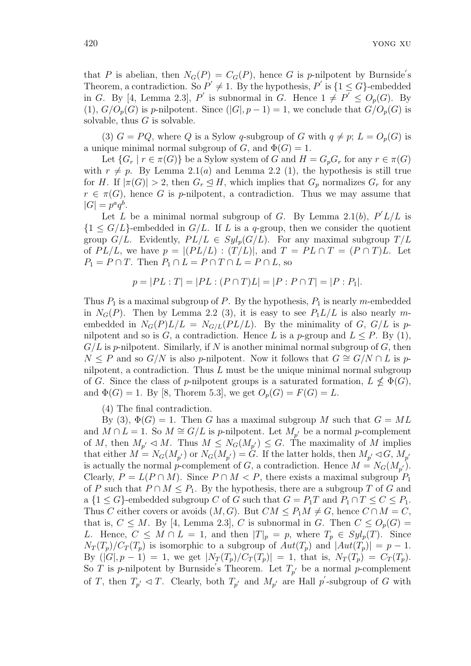that *P* is abelian, then  $N_G(P) = C_G(P)$ , hence *G* is *p*-nilpotent by Burnside's Theorem, a contradiction. So  $P' \neq 1$ . By the hypothesis,  $P'$  is  $\{1 \le G\}$ -embedded in *G*. By [4, Lemma 2.3], *P*<sup> $\prime$ </sup> is subnormal in *G*. Hence  $1 \neq P^{\prime} \leq O_p(G)$ . By (1),  $G/O_p(G)$  is *p*-nilpotent. Since  $(|G|, p-1) = 1$ , we conclude that  $G/O_p(G)$  is solvable, thus *G* is solvable.

(3)  $G = PQ$ , where Q is a Sylow q-subgroup of G with  $q \neq p$ ;  $L = O_p(G)$  is a unique minimal normal subgroup of  $G$ , and  $\Phi(G) = 1$ .

Let  ${G_r \mid r \in \pi(G)}$  be a Sylow system of *G* and  $H = G_p G_r$  for any  $r \in \pi(G)$ with  $r \neq p$ . By Lemma 2.1(*a*) and Lemma 2.2 (1), the hypothesis is still true for *H*. If  $|\pi(G)| > 2$ , then  $G_r \leq H$ , which implies that  $G_p$  normalizes  $G_r$  for any  $r \in \pi(G)$ , hence *G* is *p*-nilpotent, a contradiction. Thus we may assume that  $|G| = p^a q^b$ .

Let *L* be a minimal normal subgroup of *G*. By Lemma 2.1(*b*),  $P' L / L$  is  ${1 \le G/L}$ -embedded in  $G/L$ . If *L* is a *q*-group, then we consider the quotient group *G/L*. Evidently,  $PL/L \in Syl_p(G/L)$ . For any maximal subgroup  $T/L$ of  $PL/L$ , we have  $p = |(PL/L) : (T/L)|$ , and  $T = PL \cap T = (P \cap T)L$ . Let  $P_1 = P \cap T$ . Then  $P_1 \cap L = P \cap T \cap L = P \cap L$ , so

$$
p = |PL : T| = |PL : (P \cap T)L| = |P : P \cap T| = |P : P_1|.
$$

Thus  $P_1$  is a maximal subgroup of  $P$ . By the hypothesis,  $P_1$  is nearly *m*-embedded in  $N_G(P)$ . Then by Lemma 2.2 (3), it is easy to see  $P_1L/L$  is also nearly membedded in  $N_G(P)L/L = N_{G/L}(PL/L)$ . By the minimality of *G*, *G*/*L* is *p*nilpotent and so is *G*, a contradiction. Hence *L* is a *p*-group and  $L \leq P$ . By (1), *G/L* is *p*-nilpotent. Similarly, if *N* is another minimal normal subgroup of *G*, then *N* ≤ *P* and so *G/N* is also *p*-nilpotent. Now it follows that  $G \cong G/N \cap L$  is *p*nilpotent, a contradiction. Thus *L* must be the unique minimal normal subgroup of *G*. Since the class of *p*-nilpotent groups is a saturated formation,  $L \nleq \Phi(G)$ , and  $\Phi(G) = 1$ . By [8, Thorem 5.3], we get  $O_p(G) = F(G) = L$ .

(4) The final contradiction.

By (3),  $\Phi(G) = 1$ . Then *G* has a maximal subgroup *M* such that  $G = ML$ and  $M \cap L = 1$ . So  $M \cong G/L$  is *p*-nilpotent. Let  $M_{p'}$  be a normal *p*-complement of *M*, then  $M_{p'} \lhd M$ . Thus  $M \leq N_G(M_{p'}) \leq G$ . The maximality of *M* implies that either  $M = N_G(M_{p'})$  or  $N_G(M_{p'}) = G$ . If the latter holds, then  $M_{p'} \lhd G$ ,  $M_{p'}$ is actually the normal *p*-complement of *G*, a contradiction. Hence  $M = N_G(M_{p'})$ . Clearly,  $P = L(P \cap M)$ . Since  $P \cap M < P$ , there exists a maximal subgroup  $P_1$ of *P* such that  $P \cap M \leq P_1$ . By the hypothesis, there are a subgroup *T* of *G* and a  $\{1 \le G\}$ -embedded subgroup *C* of *G* such that  $G = P_1T$  and  $P_1 \cap T \le C \le P_1$ . Thus *C* either covers or avoids  $(M, G)$ . But  $CM \leq P_1M \neq G$ , hence  $C \cap M = C$ , that is,  $C \leq M$ . By [4, Lemma 2.3], *C* is subnormal in *G*. Then  $C \leq O_p(G)$  = *L*. Hence,  $C \leq M \cap L = 1$ , and then  $|T|_p = p$ , where  $T_p \in Syl_p(T)$ . Since  $N_T(T_p)/C_T(T_p)$  is isomorphic to a subgroup of  $Aut(T_p)$  and  $|Aut(T_p)| = p - 1$ . By  $(|G|, p - 1) = 1$ , we get  $|N_T(T_p)/C_T(T_p)| = 1$ , that is,  $N_T(T_p) = C_T(T_p)$ . So *T* is *p*-nilpotent by Burnside's Theorem. Let  $T_{p'}$  be a normal *p*-complement of *T*, then  $T_{p'} \lhd T$ . Clearly, both  $T_{p'}$  and  $M_{p'}$  are Hall  $p'$ -subgroup of *G* with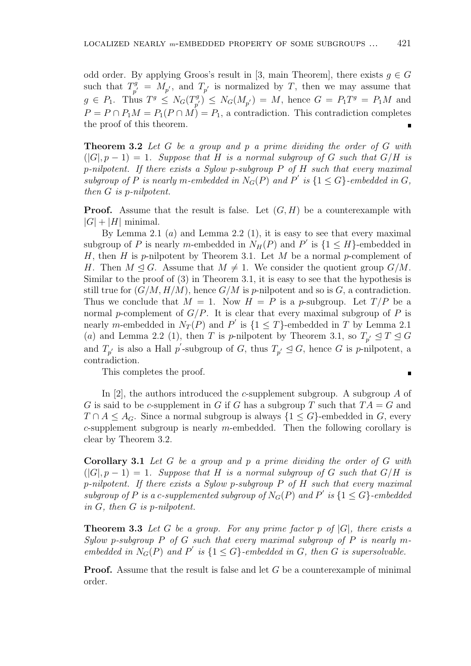odd order. By applying Groos's result in [3, main Theorem], there exists  $g \in G$ such that  $T^g$  $\int_{p'}^{g} = M_{p'}$ , and  $T_{p'}$  is normalized by *T*, then we may assume that  $g \in P_1$ . Thus  $T^g \leq N_G(T^g)$  $P_{p'}^g$   $\leq N_G(M_{p'}) = M$ , hence  $G = P_1T^g = P_1M$  and  $P = P \cap P_1 M = P_1 (P \cap M) = P_1$ , a contradiction. This contradiction completes the proof of this theorem.  $\blacksquare$ 

**Theorem 3.2** *Let G be a group and p a prime dividing the order of G with*  $(|G|, p-1) = 1$ . Suppose that *H* is a normal subgroup of *G* such that  $G/H$  is *p-nilpotent. If there exists a Sylow p-subgroup P of H such that every maximal subgroup of*  $P$  *is nearly*  $m$ *-embedded in*  $N_G(P)$  *and*  $P'$  *is*  $\{1 \le G\}$ *-embedded in*  $G$ *, then G is p-nilpotent.*

**Proof.** Assume that the result is false. Let  $(G, H)$  be a counterexample with  $|G| + |H|$  minimal.

By Lemma 2.1  $(a)$  and Lemma 2.2  $(1)$ , it is easy to see that every maximal subgroup of *P* is nearly *m*-embedded in  $N_H(P)$  and  $P'$  is  $\{1 \leq H\}$ -embedded in *H*, then *H* is *p*-nilpotent by Theorem 3.1. Let *M* be a normal *p*-complement of *H*. Then  $M \triangleleft G$ . Assume that  $M \neq 1$ . We consider the quotient group  $G/M$ . Similar to the proof of (3) in Theorem 3.1, it is easy to see that the hypothesis is still true for  $(G/M, H/M)$ , hence  $G/M$  is *p*-nilpotent and so is *G*, a contradiction. Thus we conclude that  $M = 1$ . Now  $H = P$  is a *p*-subgroup. Let  $T/P$  be a normal *p*-complement of  $G/P$ . It is clear that every maximal subgroup of *P* is nearly *m*-embedded in  $N_T(P)$  and  $P'$  is  $\{1 \leq T\}$ -embedded in  $T$  by Lemma 2.1 (*a*) and Lemma 2.2 (1), then *T* is *p*-nilpotent by Theorem 3.1, so  $T_{p'} \leq T \leq G$ and  $T_{p'}$  is also a Hall  $p'$ -subgroup of *G*, thus  $T_{p'} \trianglelefteq G$ , hence *G* is *p*-nilpotent, a contradiction.

This completes the proof.

 $\blacksquare$ 

In [2], the authors introduced the *c*-supplement subgroup. A subgroup *A* of *G* is said to be *c*-supplement in *G* if *G* has a subgroup *T* such that  $TA = G$  and  $T \cap A \leq A_G$ . Since a normal subgroup is always  $\{1 \leq G\}$ -embedded in *G*, every *c*-supplement subgroup is nearly *m*-embedded. Then the following corollary is clear by Theorem 3.2.

**Corollary 3.1** *Let G be a group and p a prime dividing the order of G with*  $(|G|, p-1) = 1$ . Suppose that *H* is a normal subgroup of *G* such that  $G/H$  is *p-nilpotent. If there exists a Sylow p-subgroup P of H such that every maximal subgroup of*  $P$  *is a c-supplemented subgroup of*  $N_G(P)$  *and*  $P'$  *is*  $\{1 \le G\}$ -embedded *in G, then G is p-nilpotent.*

**Theorem 3.3** *Let G be a group. For any prime factor p of |G|, there exists a Sylow p*-subgroup *P* of *G* such that every maximal subgroup of *P* is nearly *membedded in*  $N_G(P)$  *and*  $P'$  *is*  $\{1 \le G\}$ -embedded *in*  $G$ *, then*  $G$  *is supersolvable.* 

**Proof.** Assume that the result is false and let *G* be a counterexample of minimal order.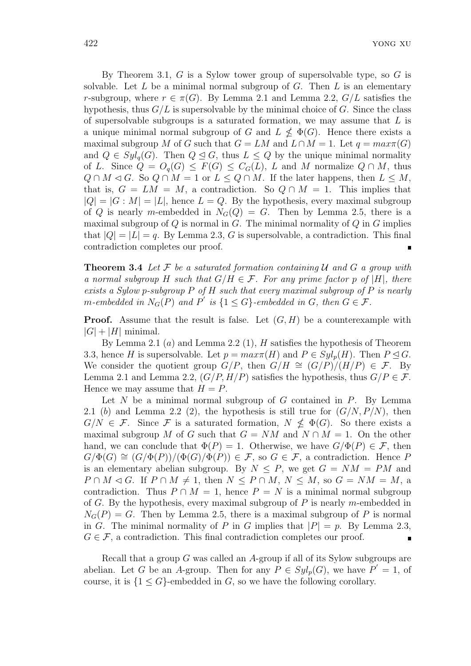By Theorem 3.1, *G* is a Sylow tower group of supersolvable type, so *G* is solvable. Let *L* be a minimal normal subgroup of *G*. Then *L* is an elementary *r*-subgroup, where  $r \in \pi(G)$ . By Lemma 2.1 and Lemma 2.2,  $G/L$  satisfies the hypothesis, thus  $G/L$  is supersolvable by the minimal choice of  $G$ . Since the class of supersolvable subgroups is a saturated formation, we may assume that *L* is a unique minimal normal subgroup of *G* and  $L \nleq \Phi(G)$ . Hence there exists a maximal subgroup *M* of *G* such that  $G = LM$  and  $L \cap M = 1$ . Let  $q = max\pi(G)$ and  $Q \in Syl_q(G)$ . Then  $Q \trianglelefteq G$ , thus  $L \leq Q$  by the unique minimal normality of *L*. Since  $Q = O_q(G) \leq F(G) \leq C_G(L)$ , *L* and *M* normalize  $Q \cap M$ , thus  $Q \cap M \triangleleft G$ . So  $Q \cap M = 1$  or  $L \leq Q \cap M$ . If the later happens, then  $L \leq M$ , that is,  $G = LM = M$ , a contradiction. So  $Q \cap M = 1$ . This implies that  $|Q| = |G : M| = |L|$ , hence  $L = Q$ . By the hypothesis, every maximal subgroup of *Q* is nearly *m*-embedded in  $N_G(Q) = G$ . Then by Lemma 2.5, there is a maximal subgroup of *Q* is normal in *G*. The minimal normality of *Q* in *G* implies that  $|Q| = |L| = q$ . By Lemma 2.3, G is supersolvable, a contradiction. This final contradiction completes our proof.

**Theorem 3.4** *Let F be a saturated formation containing U and G a group with a normal subgroup H such that*  $G/H \in \mathcal{F}$ *. For any prime factor p of*  $|H|$ *, there exists a Sylow p-subgroup P of H such that every maximal subgroup of P is nearly m*-embedded in  $N_G(P)$  and  $P'$  is  $\{1 \le G\}$ -embedded in  $G$ , then  $G \in \mathcal{F}$ .

**Proof.** Assume that the result is false. Let  $(G, H)$  be a counterexample with  $|G| + |H|$  minimal.

By Lemma 2.1 (*a*) and Lemma 2.2 (1), *H* satisfies the hypothesis of Theorem 3.3, hence *H* is supersolvable. Let  $p = max\pi(H)$  and  $P \in Syl_p(H)$ . Then  $P \trianglelefteq G$ . We consider the quotient group  $G/P$ , then  $G/H \cong (G/P)/(H/P) \in \mathcal{F}$ . By Lemma 2.1 and Lemma 2.2,  $(G/P, H/P)$  satisfies the hypothesis, thus  $G/P \in \mathcal{F}$ . Hence we may assume that  $H = P$ .

Let *N* be a minimal normal subgroup of *G* contained in *P*. By Lemma 2.1 (b) and Lemma 2.2 (2), the hypothesis is still true for  $(G/N, P/N)$ , then  $G/N \in \mathcal{F}$ . Since  $\mathcal{F}$  is a saturated formation,  $N \nleq \Phi(G)$ . So there exists a maximal subgroup *M* of *G* such that  $G = NM$  and  $N \cap M = 1$ . On the other hand, we can conclude that  $\Phi(P) = 1$ . Otherwise, we have  $G/\Phi(P) \in \mathcal{F}$ , then  $G/\Phi(G) \cong (G/\Phi(P))/(\Phi(G)/\Phi(P)) \in \mathcal{F}$ , so  $G \in \mathcal{F}$ , a contradiction. Hence *P* is an elementary abelian subgroup. By  $N \leq P$ , we get  $G = NM = PM$  and  $P \cap M \triangleleft G$ . If  $P \cap M \neq 1$ , then  $N \leq P \cap M$ ,  $N \leq M$ , so  $G = NM = M$ , a contradiction. Thus  $P \cap M = 1$ , hence  $P = N$  is a minimal normal subgroup of *G*. By the hypothesis, every maximal subgroup of *P* is nearly *m*-embedded in  $N_G(P) = G$ . Then by Lemma 2.5, there is a maximal subgroup of *P* is normal in *G*. The minimal normality of *P* in *G* implies that  $|P| = p$ . By Lemma 2.3,  $G \in \mathcal{F}$ , a contradiction. This final contradiction completes our proof.  $\blacksquare$ 

Recall that a group *G* was called an *A*-group if all of its Sylow subgroups are abelian. Let *G* be an *A*-group. Then for any  $P \in Syl_p(G)$ , we have  $P' = 1$ , of course, it is  ${1 \le G}$ -embedded in *G*, so we have the following corollary.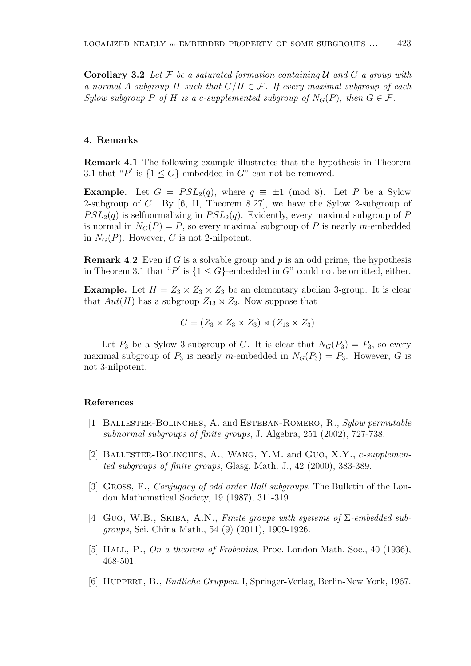**Corollary 3.2** *Let F be a saturated formation containing U and G a group with a normal A-subgroup H such that G/H ∈ F. If every maximal subgroup of each Sylow subgroup P* of *H is a c-supplemented subgroup* of  $N_G(P)$ *, then*  $G \in \mathcal{F}$ *.* 

# **4. Remarks**

**Remark 4.1** The following example illustrates that the hypothesis in Theorem 3.1 that " $P'$  is  $\{1 \le G\}$ -embedded in  $G$ " can not be removed.

**Example.** Let  $G = PSL_2(q)$ , where  $q \equiv \pm 1 \pmod{8}$ . Let *P* be a Sylow 2-subgroup of *G*. By [6, II, Theorem 8.27], we have the Sylow 2-subgroup of  $PSL_2(q)$  is selfnormalizing in  $PSL_2(q)$ . Evidently, every maximal subgroup of *P* is normal in  $N_G(P) = P$ , so every maximal subgroup of P is nearly m-embedded in  $N_G(P)$ . However, *G* is not 2-nilpotent.

**Remark 4.2** Even if *G* is a solvable group and *p* is an odd prime, the hypothesis in Theorem 3.1 that " $P'$  is  $\{1 \le G\}$ -embedded in  $G$ " could not be omitted, either.

**Example.** Let  $H = Z_3 \times Z_3 \times Z_3$  be an elementary abelian 3-group. It is clear that  $Aut(H)$  has a subgroup  $Z_{13} \rtimes Z_3$ . Now suppose that

$$
G = (Z_3 \times Z_3 \times Z_3) \rtimes (Z_{13} \rtimes Z_3)
$$

Let  $P_3$  be a Sylow 3-subgroup of *G*. It is clear that  $N_G(P_3) = P_3$ , so every maximal subgroup of  $P_3$  is nearly *m*-embedded in  $N_G(P_3) = P_3$ . However, *G* is not 3-nilpotent.

#### **References**

- [1] Ballester-Bolinches, A. and Esteban-Romero, R., *Sylow permutable subnormal subgroups of finite groups*, J. Algebra, 251 (2002), 727-738.
- [2] Ballester-Bolinches, A., Wang, Y.M. and Guo, X.Y., *c-supplemented subgroups of finite groups*, Glasg. Math. J., 42 (2000), 383-389.
- [3] Gross, F., *Conjugacy of odd order Hall subgroups*, The Bulletin of the London Mathematical Society, 19 (1987), 311-319.
- [4] Guo, W.B., Skiba, A.N., *Finite groups with systems of* Σ*-embedded subgroups*, Sci. China Math., 54 (9) (2011), 1909-1926.
- [5] Hall, P., *On a theorem of Frobenius*, Proc. London Math. Soc., 40 (1936), 468-501.
- [6] Huppert, B., *Endliche Gruppen*. I, Springer-Verlag, Berlin-New York, 1967.